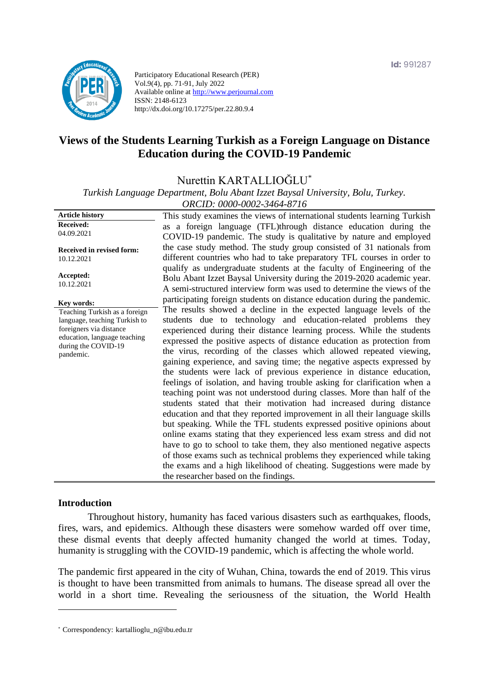

Participatory Educational Research (PER) Vol.9(4), pp. 71-91, July 2022 Available online at http://www.perjournal.com ISSN: 2148-6123 http://dx.doi.org/10.17275/per.22.80.9.4

# **Views of the Students Learning Turkish as a Foreign Language on Distance Education during the COVID-19 Pandemic**

Nurettin KARTALLIOĞLU\*

*Turkish Language Department, Bolu Abant Izzet Baysal University, Bolu, Turkey. ORCID: 0000-0002-3464-8716*

| <b>Article history</b>           | This study examines the views of international students learning Turkish  |
|----------------------------------|---------------------------------------------------------------------------|
| <b>Received:</b>                 | as a foreign language (TFL)through distance education during the          |
| 04.09.2021                       | COVID-19 pandemic. The study is qualitative by nature and employed        |
| <b>Received in revised form:</b> | the case study method. The study group consisted of 31 nationals from     |
| 10.12.2021                       | different countries who had to take preparatory TFL courses in order to   |
|                                  | qualify as undergraduate students at the faculty of Engineering of the    |
| Accepted:                        | Bolu Abant Izzet Baysal University during the 2019-2020 academic year.    |
| 10.12.2021                       | A semi-structured interview form was used to determine the views of the   |
|                                  | participating foreign students on distance education during the pandemic. |
| Kev words:                       |                                                                           |
| Teaching Turkish as a foreign    | The results showed a decline in the expected language levels of the       |
| language, teaching Turkish to    | students due to technology and education-related problems they            |
| foreigners via distance          | experienced during their distance learning process. While the students    |
| education, language teaching     | expressed the positive aspects of distance education as protection from   |
| during the COVID-19              | the virus, recording of the classes which allowed repeated viewing,       |
| pandemic.                        |                                                                           |
|                                  | gaining experience, and saving time; the negative aspects expressed by    |
|                                  | the students were lack of previous experience in distance education,      |
|                                  | feelings of isolation, and having trouble asking for clarification when a |
|                                  | teaching point was not understood during classes. More than half of the   |
|                                  | students stated that their motivation had increased during distance       |
|                                  |                                                                           |
|                                  | education and that they reported improvement in all their language skills |
|                                  | but speaking. While the TFL students expressed positive opinions about    |
|                                  | online exams stating that they experienced less exam stress and did not   |
|                                  | have to go to school to take them, they also mentioned negative aspects   |
|                                  | of those exams such as technical problems they experienced while taking   |
|                                  | the exams and a high likelihood of cheating. Suggestions were made by     |
|                                  | the researcher based on the findings.                                     |
|                                  |                                                                           |

#### **Introduction**

Throughout history, humanity has faced various disasters such as earthquakes, floods, fires, wars, and epidemics. Although these disasters were somehow warded off over time, these dismal events that deeply affected humanity changed the world at times. Today, humanity is struggling with the COVID-19 pandemic, which is affecting the whole world.

The pandemic first appeared in the city of Wuhan, China, towards the end of 2019. This virus is thought to have been transmitted from animals to humans. The disease spread all over the world in a short time. Revealing the seriousness of the situation, the World Health

<sup>\*</sup> [Correspondency:](mailto:Correspondency:) kartallioglu\_n@ibu.edu.tr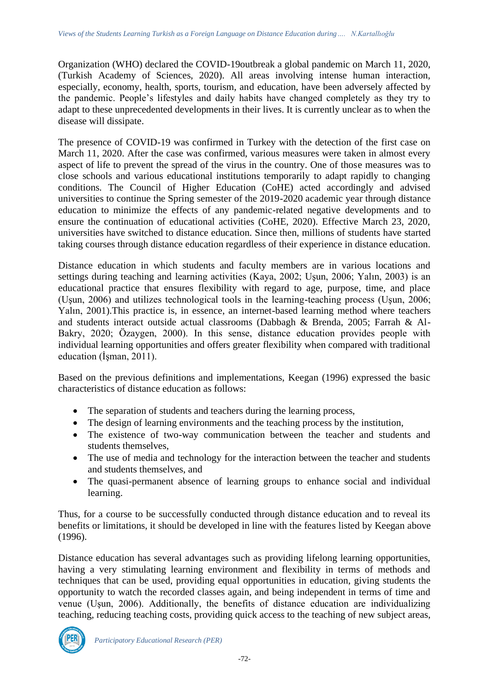Organization (WHO) declared the COVID-19outbreak a global pandemic on March 11, 2020, (Turkish Academy of Sciences, 2020). All areas involving intense human interaction, especially, economy, health, sports, tourism, and education, have been adversely affected by the pandemic. People's lifestyles and daily habits have changed completely as they try to adapt to these unprecedented developments in their lives. It is currently unclear as to when the disease will dissipate.

The presence of COVID-19 was confirmed in Turkey with the detection of the first case on March 11, 2020. After the case was confirmed, various measures were taken in almost every aspect of life to prevent the spread of the virus in the country. One of those measures was to close schools and various educational institutions temporarily to adapt rapidly to changing conditions. The Council of Higher Education (CoHE) acted accordingly and advised universities to continue the Spring semester of the 2019-2020 academic year through distance education to minimize the effects of any pandemic-related negative developments and to ensure the continuation of educational activities (CoHE, 2020). Effective March 23, 2020, universities have switched to distance education. Since then, millions of students have started taking courses through distance education regardless of their experience in distance education.

Distance education in which students and faculty members are in various locations and settings during teaching and learning activities (Kaya, 2002; Uşun, 2006; Yalın, 2003) is an educational practice that ensures flexibility with regard to age, purpose, time, and place (Uşun, 2006) and utilizes technological tools in the learning-teaching process (Uşun, 2006; Yalın, 2001).This practice is, in essence, an internet-based learning method where teachers and students interact outside actual classrooms (Dabbagh & Brenda, 2005; Farrah & Al-Bakry, 2020; Özaygen, 2000). In this sense, distance education provides people with individual learning opportunities and offers greater flexibility when compared with traditional education (İşman, 2011).

Based on the previous definitions and implementations, Keegan (1996) expressed the basic characteristics of distance education as follows:

- The separation of students and teachers during the learning process,
- The design of learning environments and the teaching process by the institution,
- The existence of two-way communication between the teacher and students and students themselves,
- The use of media and technology for the interaction between the teacher and students and students themselves, and
- The quasi-permanent absence of learning groups to enhance social and individual learning.

Thus, for a course to be successfully conducted through distance education and to reveal its benefits or limitations, it should be developed in line with the features listed by Keegan above (1996).

Distance education has several advantages such as providing lifelong learning opportunities, having a very stimulating learning environment and flexibility in terms of methods and techniques that can be used, providing equal opportunities in education, giving students the opportunity to watch the recorded classes again, and being independent in terms of time and venue (Uşun, 2006). Additionally, the benefits of distance education are individualizing teaching, reducing teaching costs, providing quick access to the teaching of new subject areas,

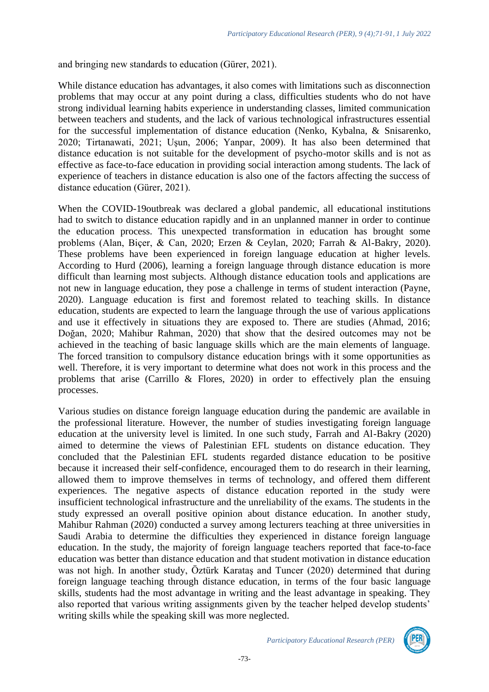and bringing new standards to education (Gürer, 2021).

While distance education has advantages, it also comes with limitations such as disconnection problems that may occur at any point during a class, difficulties students who do not have strong individual learning habits experience in understanding classes, limited communication between teachers and students, and the lack of various technological infrastructures essential for the successful implementation of distance education (Nenko, Kybalna, & Snisarenko, 2020; Tirtanawati, 2021; Uşun, 2006; Yanpar, 2009). It has also been determined that distance education is not suitable for the development of psycho-motor skills and is not as effective as face-to-face education in providing social interaction among students. The lack of experience of teachers in distance education is also one of the factors affecting the success of distance education (Gürer, 2021).

When the COVID-19outbreak was declared a global pandemic, all educational institutions had to switch to distance education rapidly and in an unplanned manner in order to continue the education process. This unexpected transformation in education has brought some problems (Alan, Biçer, & Can, 2020; Erzen & Ceylan, 2020; Farrah & Al-Bakry, 2020). These problems have been experienced in foreign language education at higher levels. According to Hurd (2006), learning a foreign language through distance education is more difficult than learning most subjects. Although distance education tools and applications are not new in language education, they pose a challenge in terms of student interaction (Payne, 2020). Language education is first and foremost related to teaching skills. In distance education, students are expected to learn the language through the use of various applications and use it effectively in situations they are exposed to. There are studies (Ahmad, 2016; Doğan, 2020; Mahibur Rahman, 2020) that show that the desired outcomes may not be achieved in the teaching of basic language skills which are the main elements of language. The forced transition to compulsory distance education brings with it some opportunities as well. Therefore, it is very important to determine what does not work in this process and the problems that arise (Carrillo & Flores, 2020) in order to effectively plan the ensuing processes.

Various studies on distance foreign language education during the pandemic are available in the professional literature. However, the number of studies investigating foreign language education at the university level is limited. In one such study, Farrah and Al-Bakry (2020) aimed to determine the views of Palestinian EFL students on distance education. They concluded that the Palestinian EFL students regarded distance education to be positive because it increased their self-confidence, encouraged them to do research in their learning, allowed them to improve themselves in terms of technology, and offered them different experiences. The negative aspects of distance education reported in the study were insufficient technological infrastructure and the unreliability of the exams. The students in the study expressed an overall positive opinion about distance education. In another study, Mahibur Rahman (2020) conducted a survey among lecturers teaching at three universities in Saudi Arabia to determine the difficulties they experienced in distance foreign language education. In the study, the majority of foreign language teachers reported that face-to-face education was better than distance education and that student motivation in distance education was not high. In another study, Öztürk Karataş and Tuncer (2020) determined that during foreign language teaching through distance education, in terms of the four basic language skills, students had the most advantage in writing and the least advantage in speaking. They also reported that various writing assignments given by the teacher helped develop students' writing skills while the speaking skill was more neglected.



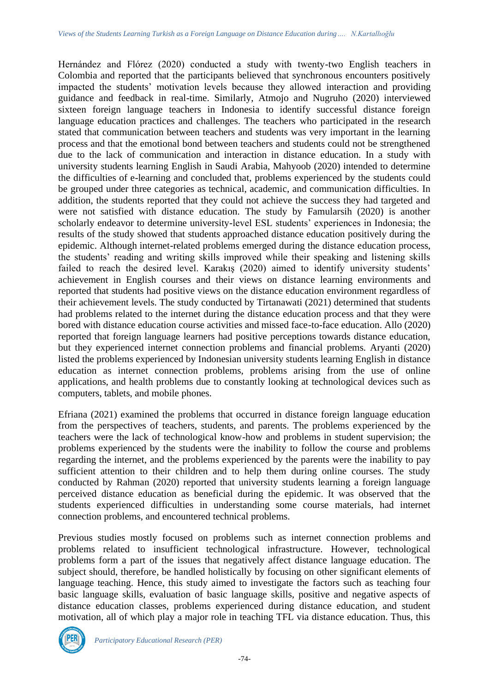Hernández and Flórez (2020) conducted a study with twenty-two English teachers in Colombia and reported that the participants believed that synchronous encounters positively impacted the students' motivation levels because they allowed interaction and providing guidance and feedback in real-time. Similarly, Atmojo and Nugruho (2020) interviewed sixteen foreign language teachers in Indonesia to identify successful distance foreign language education practices and challenges. The teachers who participated in the research stated that communication between teachers and students was very important in the learning process and that the emotional bond between teachers and students could not be strengthened due to the lack of communication and interaction in distance education. In a study with university students learning English in Saudi Arabia, Mahyoob (2020) intended to determine the difficulties of e-learning and concluded that, problems experienced by the students could be grouped under three categories as technical, academic, and communication difficulties. In addition, the students reported that they could not achieve the success they had targeted and were not satisfied with distance education. The study by Famularsih (2020) is another scholarly endeavor to determine university-level ESL students' experiences in Indonesia; the results of the study showed that students approached distance education positively during the epidemic. Although internet-related problems emerged during the distance education process, the students' reading and writing skills improved while their speaking and listening skills failed to reach the desired level. Karakış (2020) aimed to identify university students' achievement in English courses and their views on distance learning environments and reported that students had positive views on the distance education environment regardless of their achievement levels. The study conducted by Tirtanawati (2021) determined that students had problems related to the internet during the distance education process and that they were bored with distance education course activities and missed face-to-face education. Allo (2020) reported that foreign language learners had positive perceptions towards distance education, but they experienced internet connection problems and financial problems. Aryanti (2020) listed the problems experienced by Indonesian university students learning English in distance education as internet connection problems, problems arising from the use of online applications, and health problems due to constantly looking at technological devices such as computers, tablets, and mobile phones.

Efriana (2021) examined the problems that occurred in distance foreign language education from the perspectives of teachers, students, and parents. The problems experienced by the teachers were the lack of technological know-how and problems in student supervision; the problems experienced by the students were the inability to follow the course and problems regarding the internet, and the problems experienced by the parents were the inability to pay sufficient attention to their children and to help them during online courses. The study conducted by Rahman (2020) reported that university students learning a foreign language perceived distance education as beneficial during the epidemic. It was observed that the students experienced difficulties in understanding some course materials, had internet connection problems, and encountered technical problems.

Previous studies mostly focused on problems such as internet connection problems and problems related to insufficient technological infrastructure. However, technological problems form a part of the issues that negatively affect distance language education. The subject should, therefore, be handled holistically by focusing on other significant elements of language teaching. Hence, this study aimed to investigate the factors such as teaching four basic language skills, evaluation of basic language skills, positive and negative aspects of distance education classes, problems experienced during distance education, and student motivation, all of which play a major role in teaching TFL via distance education. Thus, this

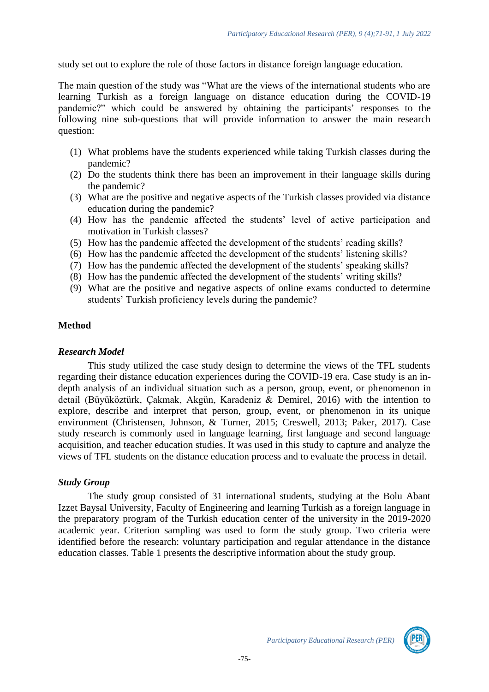study set out to explore the role of those factors in distance foreign language education.

The main question of the study was "What are the views of the international students who are learning Turkish as a foreign language on distance education during the COVID-19 pandemic?" which could be answered by obtaining the participants' responses to the following nine sub-questions that will provide information to answer the main research question:

- (1) What problems have the students experienced while taking Turkish classes during the pandemic?
- (2) Do the students think there has been an improvement in their language skills during the pandemic?
- (3) What are the positive and negative aspects of the Turkish classes provided via distance education during the pandemic?
- (4) How has the pandemic affected the students' level of active participation and motivation in Turkish classes?
- (5) How has the pandemic affected the development of the students' reading skills?
- (6) How has the pandemic affected the development of the students' listening skills?
- (7) How has the pandemic affected the development of the students' speaking skills?
- (8) How has the pandemic affected the development of the students' writing skills?
- (9) What are the positive and negative aspects of online exams conducted to determine students' Turkish proficiency levels during the pandemic?

#### **Method**

#### *Research Model*

This study utilized the case study design to determine the views of the TFL students regarding their distance education experiences during the COVID-19 era. Case study is an indepth analysis of an individual situation such as a person, group, event, or phenomenon in detail (Büyüköztürk, Çakmak, Akgün, Karadeniz & Demirel, 2016) with the intention to explore, describe and interpret that person, group, event, or phenomenon in its unique environment (Christensen, Johnson, & Turner, 2015; Creswell, 2013; Paker, 2017). Case study research is commonly used in language learning, first language and second language acquisition, and teacher education studies. It was used in this study to capture and analyze the views of TFL students on the distance education process and to evaluate the process in detail.

#### *Study Group*

The study group consisted of 31 international students, studying at the Bolu Abant Izzet Baysal University, Faculty of Engineering and learning Turkish as a foreign language in the preparatory program of the Turkish education center of the university in the 2019-2020 academic year. Criterion sampling was used to form the study group. Two criteria were identified before the research: voluntary participation and regular attendance in the distance education classes. Table 1 presents the descriptive information about the study group.

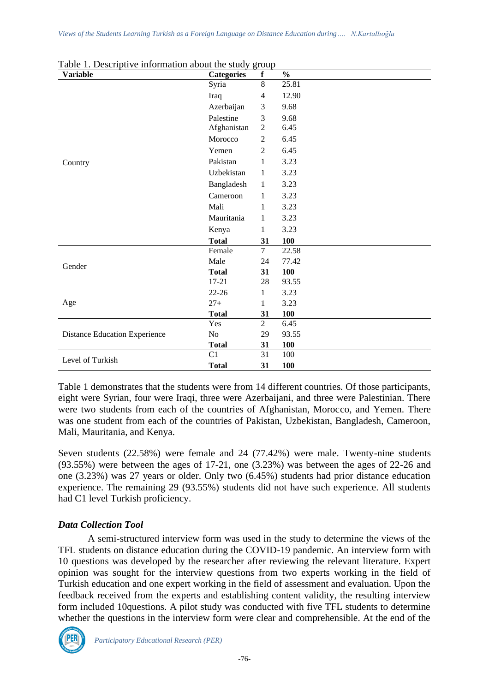| Table 1. Descriptive information about the study group<br><b>Variable</b> | <b>Categories</b> | f              | $\frac{0}{0}$ |
|---------------------------------------------------------------------------|-------------------|----------------|---------------|
|                                                                           | Syria             | 8              | 25.81         |
|                                                                           | Iraq              | $\overline{4}$ | 12.90         |
|                                                                           | Azerbaijan        | 3              | 9.68          |
|                                                                           | Palestine         | 3              | 9.68          |
|                                                                           | Afghanistan       | $\overline{2}$ | 6.45          |
|                                                                           | Morocco           | $\overline{2}$ | 6.45          |
|                                                                           | Yemen             | $\overline{2}$ | 6.45          |
| Country                                                                   | Pakistan          | 1              | 3.23          |
|                                                                           | Uzbekistan        | $\mathbf{1}$   | 3.23          |
|                                                                           | Bangladesh        | 1              | 3.23          |
|                                                                           | Cameroon          | 1              | 3.23          |
|                                                                           | Mali              | 1              | 3.23          |
|                                                                           | Mauritania        | 1              | 3.23          |
|                                                                           | Kenya             | 1              | 3.23          |
|                                                                           | <b>Total</b>      | 31             | <b>100</b>    |
|                                                                           | Female            | $\tau$         | 22.58         |
| Gender                                                                    | Male              | 24             | 77.42         |
|                                                                           | <b>Total</b>      | 31             | <b>100</b>    |
|                                                                           | $17 - 21$         | 28             | 93.55         |
|                                                                           | $22 - 26$         | 1              | 3.23          |
| Age                                                                       | $27+$             | 1              | 3.23          |
|                                                                           | <b>Total</b>      | 31             | 100           |
|                                                                           | Yes               | $\overline{2}$ | 6.45          |
| <b>Distance Education Experience</b>                                      | No                | 29             | 93.55         |
|                                                                           | <b>Total</b>      | 31             | 100           |
| Level of Turkish                                                          | C1                | 31             | 100           |
|                                                                           | <b>Total</b>      | 31             | <b>100</b>    |

Table 1. Descriptive information about the study group

Table 1 demonstrates that the students were from 14 different countries. Of those participants, eight were Syrian, four were Iraqi, three were Azerbaijani, and three were Palestinian. There were two students from each of the countries of Afghanistan, Morocco, and Yemen. There was one student from each of the countries of Pakistan, Uzbekistan, Bangladesh, Cameroon, Mali, Mauritania, and Kenya.

Seven students (22.58%) were female and 24 (77.42%) were male. Twenty-nine students (93.55%) were between the ages of 17-21, one (3.23%) was between the ages of 22-26 and one (3.23%) was 27 years or older. Only two (6.45%) students had prior distance education experience. The remaining 29 (93.55%) students did not have such experience. All students had C1 level Turkish proficiency.

# *Data Collection Tool*

A semi-structured interview form was used in the study to determine the views of the TFL students on distance education during the COVID-19 pandemic. An interview form with 10 questions was developed by the researcher after reviewing the relevant literature. Expert opinion was sought for the interview questions from two experts working in the field of Turkish education and one expert working in the field of assessment and evaluation. Upon the feedback received from the experts and establishing content validity, the resulting interview form included 10questions. A pilot study was conducted with five TFL students to determine whether the questions in the interview form were clear and comprehensible. At the end of the

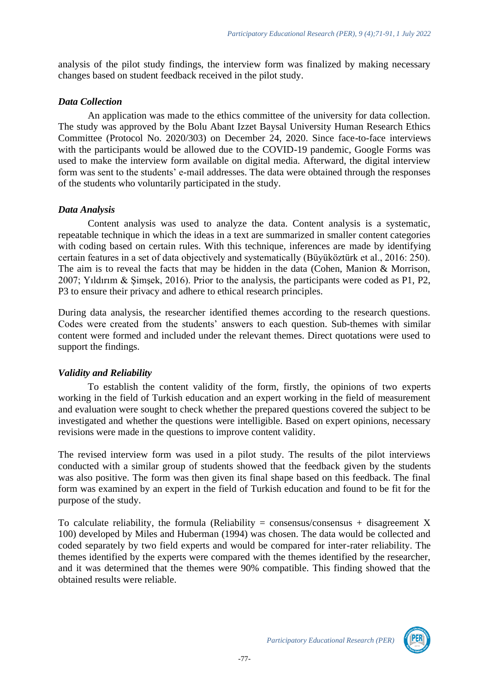analysis of the pilot study findings, the interview form was finalized by making necessary changes based on student feedback received in the pilot study.

## *Data Collection*

An application was made to the ethics committee of the university for data collection. The study was approved by the Bolu Abant Izzet Baysal University Human Research Ethics Committee (Protocol No. 2020/303) on December 24, 2020. Since face-to-face interviews with the participants would be allowed due to the COVID-19 pandemic, Google Forms was used to make the interview form available on digital media. Afterward, the digital interview form was sent to the students' e-mail addresses. The data were obtained through the responses of the students who voluntarily participated in the study.

# *Data Analysis*

Content analysis was used to analyze the data. Content analysis is a systematic, repeatable technique in which the ideas in a text are summarized in smaller content categories with coding based on certain rules. With this technique, inferences are made by identifying certain features in a set of data objectively and systematically (Büyüköztürk et al., 2016: 250). The aim is to reveal the facts that may be hidden in the data (Cohen, Manion & Morrison, 2007; Yıldırım & Şimşek, 2016). Prior to the analysis, the participants were coded as P1, P2, P3 to ensure their privacy and adhere to ethical research principles.

During data analysis, the researcher identified themes according to the research questions. Codes were created from the students' answers to each question. Sub-themes with similar content were formed and included under the relevant themes. Direct quotations were used to support the findings.

# *Validity and Reliability*

To establish the content validity of the form, firstly, the opinions of two experts working in the field of Turkish education and an expert working in the field of measurement and evaluation were sought to check whether the prepared questions covered the subject to be investigated and whether the questions were intelligible. Based on expert opinions, necessary revisions were made in the questions to improve content validity.

The revised interview form was used in a pilot study. The results of the pilot interviews conducted with a similar group of students showed that the feedback given by the students was also positive. The form was then given its final shape based on this feedback. The final form was examined by an expert in the field of Turkish education and found to be fit for the purpose of the study.

To calculate reliability, the formula (Reliability = consensus/consensus + disagreement X 100) developed by Miles and Huberman (1994) was chosen. The data would be collected and coded separately by two field experts and would be compared for inter-rater reliability. The themes identified by the experts were compared with the themes identified by the researcher, and it was determined that the themes were 90% compatible. This finding showed that the obtained results were reliable.

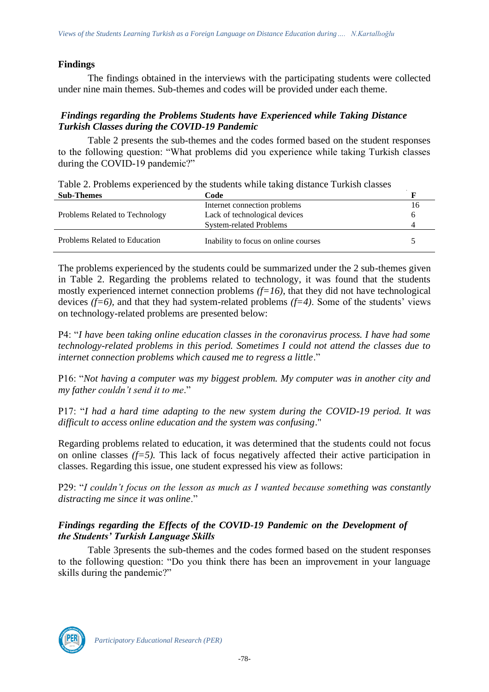# **Findings**

The findings obtained in the interviews with the participating students were collected under nine main themes. Sub-themes and codes will be provided under each theme.

### *Findings regarding the Problems Students have Experienced while Taking Distance Turkish Classes during the COVID-19 Pandemic*

Table 2 presents the sub-themes and the codes formed based on the student responses to the following question: "What problems did you experience while taking Turkish classes during the COVID-19 pandemic?"

|                   | Table 2. Problems experienced by the students while taking distance Turkish classes |  |
|-------------------|-------------------------------------------------------------------------------------|--|
| <b>Sub-Themes</b> | Code                                                                                |  |
|                   |                                                                                     |  |

| $v_{\rm av}$ inchercy          | .                                    |    |
|--------------------------------|--------------------------------------|----|
|                                | Internet connection problems         | 16 |
| Problems Related to Technology | Lack of technological devices        |    |
|                                | <b>System-related Problems</b>       |    |
| Problems Related to Education  | Inability to focus on online courses |    |

The problems experienced by the students could be summarized under the 2 sub-themes given in Table 2. Regarding the problems related to technology, it was found that the students mostly experienced internet connection problems *(f=16)*, that they did not have technological devices *(f=6),* and that they had system-related problems *(f=4)*. Some of the students' views on technology-related problems are presented below:

P4: "*I have been taking online education classes in the coronavirus process. I have had some technology-related problems in this period. Sometimes I could not attend the classes due to internet connection problems which caused me to regress a little*."

P16: "*Not having a computer was my biggest problem. My computer was in another city and my father couldn't send it to me*."

P17: "*I had a hard time adapting to the new system during the COVID-19 period. It was difficult to access online education and the system was confusing*."

Regarding problems related to education, it was determined that the students could not focus on online classes  $(f=5)$ . This lack of focus negatively affected their active participation in classes. Regarding this issue, one student expressed his view as follows:

P29: "*I couldn't focus on the lesson as much as I wanted because something was constantly distracting me since it was online*."

# *Findings regarding the Effects of the COVID-19 Pandemic on the Development of the Students' Turkish Language Skills*

Table 3presents the sub-themes and the codes formed based on the student responses to the following question: "Do you think there has been an improvement in your language skills during the pandemic?"

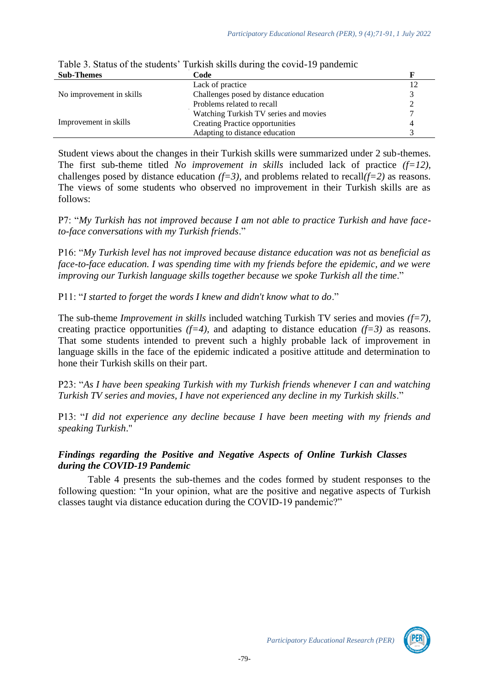| <b>Sub-Themes</b>                                                                                | Code                                  |  |
|--------------------------------------------------------------------------------------------------|---------------------------------------|--|
|                                                                                                  | Lack of practice                      |  |
| No improvement in skills<br>Challenges posed by distance education<br>Problems related to recall |                                       |  |
|                                                                                                  |                                       |  |
|                                                                                                  | Watching Turkish TV series and movies |  |
| Improvement in skills                                                                            | Creating Practice opportunities       |  |
|                                                                                                  | Adapting to distance education        |  |

# Table 3. Status of the students' Turkish skills during the covid-19 pandemic

Student views about the changes in their Turkish skills were summarized under 2 sub-themes. The first sub-theme titled *No improvement in skills* included lack of practice *(f=12)*, challenges posed by distance education  $(f=3)$ , and problems related to recall $(f=2)$  as reasons. The views of some students who observed no improvement in their Turkish skills are as follows:

P7: "*My Turkish has not improved because I am not able to practice Turkish and have faceto-face conversations with my Turkish friends*."

P16: "*My Turkish level has not improved because distance education was not as beneficial as face-to-face education. I was spending time with my friends before the epidemic, and we were improving our Turkish language skills together because we spoke Turkish all the time*."

P11: "*I started to forget the words I knew and didn't know what to do*."

The sub-theme *Improvement in skills* included watching Turkish TV series and movies *(f=7)*, creating practice opportunities  $(f=4)$ , and adapting to distance education  $(f=3)$  as reasons. That some students intended to prevent such a highly probable lack of improvement in language skills in the face of the epidemic indicated a positive attitude and determination to hone their Turkish skills on their part.

P23: "*As I have been speaking Turkish with my Turkish friends whenever I can and watching Turkish TV series and movies, I have not experienced any decline in my Turkish skills*."

P13: "*I did not experience any decline because I have been meeting with my friends and speaking Turkish*."

# *Findings regarding the Positive and Negative Aspects of Online Turkish Classes during the COVID-19 Pandemic*

Table 4 presents the sub-themes and the codes formed by student responses to the following question: "In your opinion, what are the positive and negative aspects of Turkish classes taught via distance education during the COVID-19 pandemic?"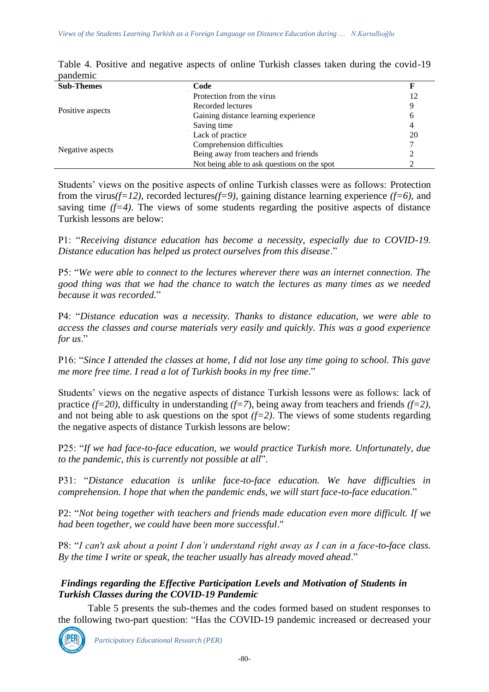| <b>Sub-Themes</b> | Code                                        |    |
|-------------------|---------------------------------------------|----|
|                   | Protection from the virus                   | 12 |
|                   | Recorded lectures                           |    |
| Positive aspects  | Gaining distance learning experience        |    |
|                   | Saving time                                 |    |
| Lack of practice  |                                             | 20 |
|                   | Comprehension difficulties                  |    |
| Negative aspects  | Being away from teachers and friends        |    |
|                   | Not being able to ask questions on the spot |    |

Table 4. Positive and negative aspects of online Turkish classes taken during the covid-19 pandemic

Students' views on the positive aspects of online Turkish classes were as follows: Protection from the virus*(f=12)*, recorded lectures*(f=9)*, gaining distance learning experience *(f=6),* and saving time  $(f=4)$ . The views of some students regarding the positive aspects of distance Turkish lessons are below:

P1: "*Receiving distance education has become a necessity, especially due to COVID-19. Distance education has helped us protect ourselves from this disease*."

P5: "*We were able to connect to the lectures wherever there was an internet connection. The good thing was that we had the chance to watch the lectures as many times as we needed because it was recorded.*"

P4: "*Distance education was a necessity. Thanks to distance education, we were able to access the classes and course materials very easily and quickly. This was a good experience for us*."

P16: "*Since I attended the classes at home, I did not lose any time going to school. This gave me more free time. I read a lot of Turkish books in my free time*."

Students' views on the negative aspects of distance Turkish lessons were as follows: lack of practice *(f=20)*, difficulty in understanding *(f=7*), being away from teachers and friends *(f=2),*  and not being able to ask questions on the spot  $(f=2)$ . The views of some students regarding the negative aspects of distance Turkish lessons are below:

P25: "*If we had face-to-face education, we would practice Turkish more. Unfortunately, due to the pandemic, this is currently not possible at all*".

P31: "*Distance education is unlike face-to-face education. We have difficulties in comprehension. I hope that when the pandemic ends, we will start face-to-face education*."

P2: "*Not being together with teachers and friends made education even more difficult. If we had been together, we could have been more successful*."

P8: "*I can't ask about a point I don't understand right away as I can in a face-to-face class. By the time I write or speak, the teacher usually has already moved ahead*."

# *Findings regarding the Effective Participation Levels and Motivation of Students in Turkish Classes during the COVID-19 Pandemic*

Table 5 presents the sub-themes and the codes formed based on student responses to the following two-part question: "Has the COVID-19 pandemic increased or decreased your



*Participatory Educational Research (PER)*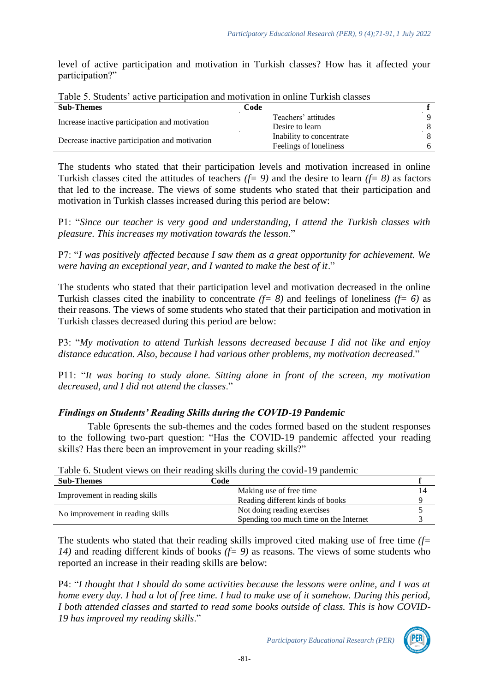level of active participation and motivation in Turkish classes? How has it affected your participation?"

| <b>Sub-Themes</b>                              |  | Code                     |   |
|------------------------------------------------|--|--------------------------|---|
| Increase inactive participation and motivation |  | Teachers' attitudes      |   |
|                                                |  | Desire to learn          |   |
| Decrease inactive participation and motivation |  | Inability to concentrate |   |
|                                                |  | Feelings of loneliness   | 6 |
|                                                |  |                          |   |

Table 5. Students' active participation and motivation in online Turkish classes

The students who stated that their participation levels and motivation increased in online Turkish classes cited the attitudes of teachers *(f= 9)* and the desire to learn *(f= 8)* as factors that led to the increase. The views of some students who stated that their participation and motivation in Turkish classes increased during this period are below:

P1: "*Since our teacher is very good and understanding, I attend the Turkish classes with pleasure. This increases my motivation towards the lesson*."

P7: "*I was positively affected because I saw them as a great opportunity for achievement. We were having an exceptional year, and I wanted to make the best of it*."

The students who stated that their participation level and motivation decreased in the online Turkish classes cited the inability to concentrate *(f= 8)* and feelings of loneliness *(f= 6)* as their reasons. The views of some students who stated that their participation and motivation in Turkish classes decreased during this period are below:

P3: "*My motivation to attend Turkish lessons decreased because I did not like and enjoy distance education. Also, because I had various other problems, my motivation decreased*."

P11: "*It was boring to study alone. Sitting alone in front of the screen, my motivation decreased, and I did not attend the classes*."

# *Findings on Students' Reading Skills during the COVID-19 Pandemic*

Table 6presents the sub-themes and the codes formed based on the student responses to the following two-part question: "Has the COVID-19 pandemic affected your reading skills? Has there been an improvement in your reading skills?"

|                                  | Table 6. Student views on their reading skills during the covid-19 pandemic |    |
|----------------------------------|-----------------------------------------------------------------------------|----|
| <b>Sub-Themes</b>                | Code                                                                        |    |
| Improvement in reading skills    | Making use of free time.                                                    | 14 |
|                                  | Reading different kinds of books                                            |    |
| No improvement in reading skills | Not doing reading exercises                                                 |    |
|                                  | Spending too much time on the Internet                                      |    |

Table 6. Student views on their reading skills during the covid-19 pandemic

The students who stated that their reading skills improved cited making use of free time *(f= 14)* and reading different kinds of books *(f= 9)* as reasons. The views of some students who reported an increase in their reading skills are below:

P4: "*I thought that I should do some activities because the lessons were online, and I was at home every day. I had a lot of free time. I had to make use of it somehow. During this period, I both attended classes and started to read some books outside of class. This is how COVID-19 has improved my reading skills*."

*Participatory Educational Research (PER)*

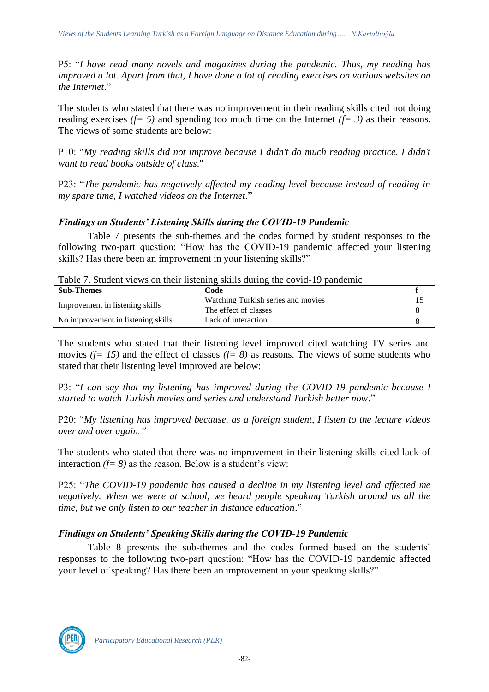P5: "*I have read many novels and magazines during the pandemic. Thus, my reading has improved a lot. Apart from that, I have done a lot of reading exercises on various websites on the Internet*."

The students who stated that there was no improvement in their reading skills cited not doing reading exercises  $(f= 5)$  and spending too much time on the Internet  $(f= 3)$  as their reasons. The views of some students are below:

P10: "*My reading skills did not improve because I didn't do much reading practice. I didn't want to read books outside of class*."

P23: "*The pandemic has negatively affected my reading level because instead of reading in my spare time, I watched videos on the Internet*."

# *Findings on Students' Listening Skills during the COVID-19 Pandemic*

Table 7 presents the sub-themes and the codes formed by student responses to the following two-part question: "How has the COVID-19 pandemic affected your listening skills? Has there been an improvement in your listening skills?"

Table 7. Student views on their listening skills during the covid-19 pandemic

| <b>Sub-Themes</b>                  | Code                               |  |
|------------------------------------|------------------------------------|--|
| Improvement in listening skills    | Watching Turkish series and movies |  |
|                                    | The effect of classes              |  |
| No improvement in listening skills | Lack of interaction                |  |

The students who stated that their listening level improved cited watching TV series and movies *(f= 15)* and the effect of classes *(f= 8)* as reasons. The views of some students who stated that their listening level improved are below:

P3: "*I can say that my listening has improved during the COVID-19 pandemic because I started to watch Turkish movies and series and understand Turkish better now*."

P20: "*My listening has improved because, as a foreign student, I listen to the lecture videos over and over again."*

The students who stated that there was no improvement in their listening skills cited lack of interaction  $(f= 8)$  as the reason. Below is a student's view:

P25: "*The COVID-19 pandemic has caused a decline in my listening level and affected me negatively. When we were at school, we heard people speaking Turkish around us all the time, but we only listen to our teacher in distance education*."

# *Findings on Students' Speaking Skills during the COVID-19 Pandemic*

Table 8 presents the sub-themes and the codes formed based on the students' responses to the following two-part question: "How has the COVID-19 pandemic affected your level of speaking? Has there been an improvement in your speaking skills?"

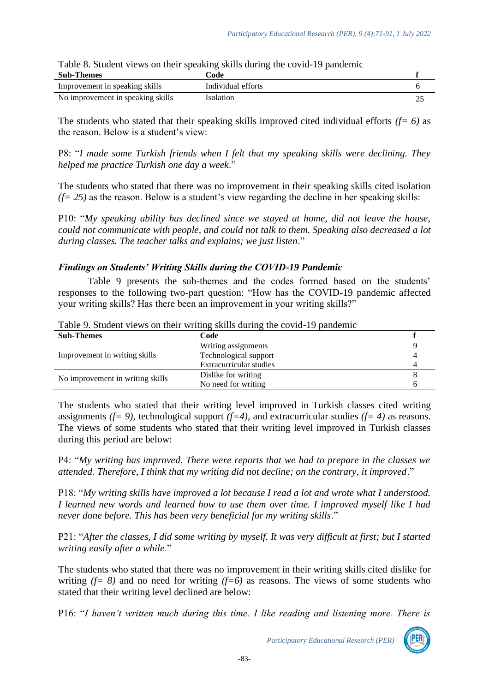| Table 8. Student views on their speaking skills during the covid-19 pandemic |                    |  |  |
|------------------------------------------------------------------------------|--------------------|--|--|
| <b>Sub-Themes</b>                                                            | Code               |  |  |
| Improvement in speaking skills                                               | Individual efforts |  |  |
| No improvement in speaking skills                                            | Isolation          |  |  |

Table 8. Student views on their speaking skills during the covid-19 pandemic

The students who stated that their speaking skills improved cited individual efforts *(f= 6)* as the reason. Below is a student's view:

P8: "*I made some Turkish friends when I felt that my speaking skills were declining. They helped me practice Turkish one day a week*."

The students who stated that there was no improvement in their speaking skills cited isolation  $(f= 25)$  as the reason. Below is a student's view regarding the decline in her speaking skills:

P10: "*My speaking ability has declined since we stayed at home, did not leave the house, could not communicate with people, and could not talk to them. Speaking also decreased a lot during classes. The teacher talks and explains; we just listen*."

#### *Findings on Students' Writing Skills during the COVID-19 Pandemic*

Table 9 presents the sub-themes and the codes formed based on the students' responses to the following two-part question: "How has the COVID-19 pandemic affected your writing skills? Has there been an improvement in your writing skills?"

| $-$ weight and the second state of the state of the state of the second state of the second state of the state of the state of the state of the state of the state of the state of the state of the state of the state of the |                         |  |
|-------------------------------------------------------------------------------------------------------------------------------------------------------------------------------------------------------------------------------|-------------------------|--|
| <b>Sub-Themes</b>                                                                                                                                                                                                             | Code                    |  |
|                                                                                                                                                                                                                               | Writing assignments     |  |
| Improvement in writing skills                                                                                                                                                                                                 | Technological support   |  |
|                                                                                                                                                                                                                               | Extracurricular studies |  |
| No improvement in writing skills                                                                                                                                                                                              | Dislike for writing     |  |
|                                                                                                                                                                                                                               | No need for writing     |  |

Table 9. Student views on their writing skills during the covid-19 pandemic

The students who stated that their writing level improved in Turkish classes cited writing assignments *(f= 9)*, technological support *(f=4),* and extracurricular studies *(f= 4)* as reasons. The views of some students who stated that their writing level improved in Turkish classes during this period are below:

P4: "*My writing has improved. There were reports that we had to prepare in the classes we attended. Therefore, I think that my writing did not decline; on the contrary, it improved*."

P18: "*My writing skills have improved a lot because I read a lot and wrote what I understood. I learned new words and learned how to use them over time. I improved myself like I had never done before. This has been very beneficial for my writing skills*."

P21: "*After the classes, I did some writing by myself. It was very difficult at first; but I started writing easily after a while*."

The students who stated that there was no improvement in their writing skills cited dislike for writing  $(f= 8)$  and no need for writing  $(f=6)$  as reasons. The views of some students who stated that their writing level declined are below:

P16: "*I haven't written much during this time. I like reading and listening more. There is*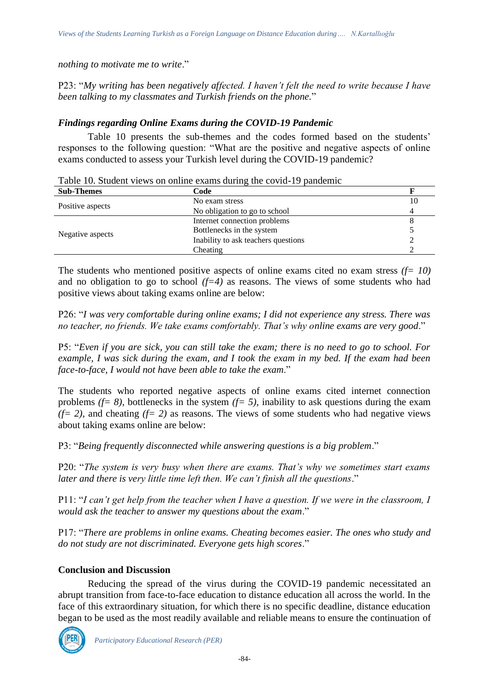*nothing to motivate me to write*."

P23: "*My writing has been negatively affected. I haven't felt the need to write because I have been talking to my classmates and Turkish friends on the phone.*"

# *Findings regarding Online Exams during the COVID-19 Pandemic*

Table 10 presents the sub-themes and the codes formed based on the students' responses to the following question: "What are the positive and negative aspects of online exams conducted to assess your Turkish level during the COVID-19 pandemic?

Table 10. Student views on online exams during the covid-19 pandemic

| <b>Sub-Themes</b> | Code                                                                                                                                          |    |
|-------------------|-----------------------------------------------------------------------------------------------------------------------------------------------|----|
|                   | No exam stress                                                                                                                                | 10 |
| Positive aspects  | No obligation to go to school<br>Internet connection problems<br>Bottlenecks in the system<br>Inability to ask teachers questions<br>Cheating |    |
| Negative aspects  |                                                                                                                                               |    |
|                   |                                                                                                                                               |    |
|                   |                                                                                                                                               |    |
|                   |                                                                                                                                               |    |

The students who mentioned positive aspects of online exams cited no exam stress *(f= 10)*  and no obligation to go to school  $(f=4)$  as reasons. The views of some students who had positive views about taking exams online are below:

P26: "*I was very comfortable during online exams; I did not experience any stress. There was no teacher, no friends. We take exams comfortably. That's why online exams are very good*."

P5: "*Even if you are sick, you can still take the exam; there is no need to go to school. For example, I was sick during the exam, and I took the exam in my bed. If the exam had been face-to-face, I would not have been able to take the exam*."

The students who reported negative aspects of online exams cited internet connection problems  $(f= 8)$ , bottlenecks in the system  $(f= 5)$ , inability to ask questions during the exam  $(f= 2)$ , and cheating  $(f= 2)$  as reasons. The views of some students who had negative views about taking exams online are below:

P3: "*Being frequently disconnected while answering questions is a big problem*."

P20: "*The system is very busy when there are exams. That's why we sometimes start exams later and there is very little time left then. We can't finish all the questions*."

P11: "*I can't get help from the teacher when I have a question. If we were in the classroom, I would ask the teacher to answer my questions about the exam*."

P17: "*There are problems in online exams. Cheating becomes easier. The ones who study and do not study are not discriminated. Everyone gets high scores*."

# **Conclusion and Discussion**

Reducing the spread of the virus during the COVID-19 pandemic necessitated an abrupt transition from face-to-face education to distance education all across the world. In the face of this extraordinary situation, for which there is no specific deadline, distance education began to be used as the most readily available and reliable means to ensure the continuation of

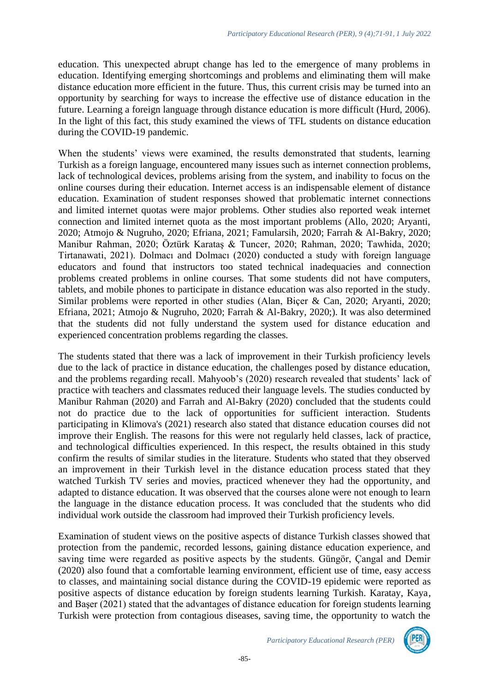education. This unexpected abrupt change has led to the emergence of many problems in education. Identifying emerging shortcomings and problems and eliminating them will make distance education more efficient in the future. Thus, this current crisis may be turned into an opportunity by searching for ways to increase the effective use of distance education in the future. Learning a foreign language through distance education is more difficult (Hurd, 2006). In the light of this fact, this study examined the views of TFL students on distance education during the COVID-19 pandemic.

When the students' views were examined, the results demonstrated that students, learning Turkish as a foreign language, encountered many issues such as internet connection problems, lack of technological devices, problems arising from the system, and inability to focus on the online courses during their education. Internet access is an indispensable element of distance education. Examination of student responses showed that problematic internet connections and limited internet quotas were major problems. Other studies also reported weak internet connection and limited internet quota as the most important problems (Allo, 2020; Aryanti, 2020; Atmojo & Nugruho, 2020; Efriana, 2021; Famularsih, 2020; Farrah & Al-Bakry, 2020; Manibur Rahman, 2020; Öztürk Karataş & Tuncer, 2020; Rahman, 2020; Tawhida, 2020; Tirtanawati, 2021). Dolmacı and Dolmacı (2020) conducted a study with foreign language educators and found that instructors too stated technical inadequacies and connection problems created problems in online courses. That some students did not have computers, tablets, and mobile phones to participate in distance education was also reported in the study. Similar problems were reported in other studies (Alan, Biçer & Can, 2020; Aryanti, 2020; Efriana, 2021; Atmojo & Nugruho, 2020; Farrah & Al-Bakry, 2020;). It was also determined that the students did not fully understand the system used for distance education and experienced concentration problems regarding the classes.

The students stated that there was a lack of improvement in their Turkish proficiency levels due to the lack of practice in distance education, the challenges posed by distance education, and the problems regarding recall. Mahyoob's (2020) research revealed that students' lack of practice with teachers and classmates reduced their language levels. The studies conducted by Manibur Rahman (2020) and Farrah and Al-Bakry (2020) concluded that the students could not do practice due to the lack of opportunities for sufficient interaction. Students participating in Klimova's (2021) research also stated that distance education courses did not improve their English. The reasons for this were not regularly held classes, lack of practice, and technological difficulties experienced. In this respect, the results obtained in this study confirm the results of similar studies in the literature. Students who stated that they observed an improvement in their Turkish level in the distance education process stated that they watched Turkish TV series and movies, practiced whenever they had the opportunity, and adapted to distance education. It was observed that the courses alone were not enough to learn the language in the distance education process. It was concluded that the students who did individual work outside the classroom had improved their Turkish proficiency levels.

Examination of student views on the positive aspects of distance Turkish classes showed that protection from the pandemic, recorded lessons, gaining distance education experience, and saving time were regarded as positive aspects by the students. Güngör, Çangal and Demir (2020) also found that a comfortable learning environment, efficient use of time, easy access to classes, and maintaining social distance during the COVID-19 epidemic were reported as positive aspects of distance education by foreign students learning Turkish. Karatay, Kaya, and Başer (2021) stated that the advantages of distance education for foreign students learning Turkish were protection from contagious diseases, saving time, the opportunity to watch the

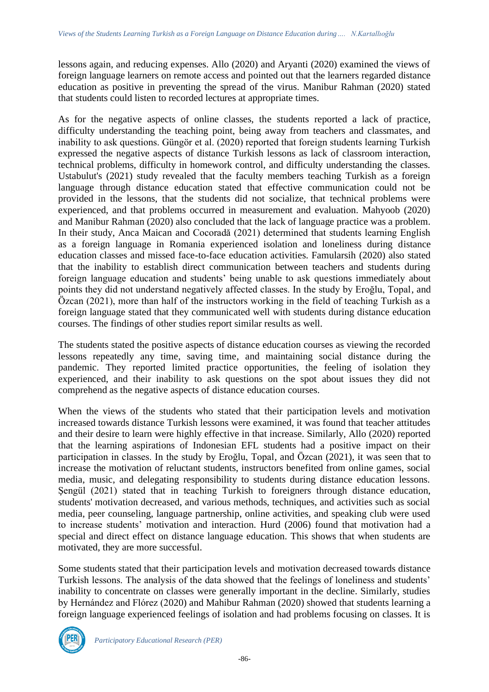lessons again, and reducing expenses. Allo (2020) and Aryanti (2020) examined the views of foreign language learners on remote access and pointed out that the learners regarded distance education as positive in preventing the spread of the virus. Manibur Rahman (2020) stated that students could listen to recorded lectures at appropriate times.

As for the negative aspects of online classes, the students reported a lack of practice, difficulty understanding the teaching point, being away from teachers and classmates, and inability to ask questions. Güngör et al. (2020) reported that foreign students learning Turkish expressed the negative aspects of distance Turkish lessons as lack of classroom interaction, technical problems, difficulty in homework control, and difficulty understanding the classes. Ustabulut's (2021) study revealed that the faculty members teaching Turkish as a foreign language through distance education stated that effective communication could not be provided in the lessons, that the students did not socialize, that technical problems were experienced, and that problems occurred in measurement and evaluation. Mahyoob (2020) and Manibur Rahman (2020) also concluded that the lack of language practice was a problem. In their study, Anca Maican and Cocoradă (2021) determined that students learning English as a foreign language in Romania experienced isolation and loneliness during distance education classes and missed face-to-face education activities. Famularsih (2020) also stated that the inability to establish direct communication between teachers and students during foreign language education and students' being unable to ask questions immediately about points they did not understand negatively affected classes. In the study by Eroğlu, Topal, and Özcan (2021), more than half of the instructors working in the field of teaching Turkish as a foreign language stated that they communicated well with students during distance education courses. The findings of other studies report similar results as well.

The students stated the positive aspects of distance education courses as viewing the recorded lessons repeatedly any time, saving time, and maintaining social distance during the pandemic. They reported limited practice opportunities, the feeling of isolation they experienced, and their inability to ask questions on the spot about issues they did not comprehend as the negative aspects of distance education courses.

When the views of the students who stated that their participation levels and motivation increased towards distance Turkish lessons were examined, it was found that teacher attitudes and their desire to learn were highly effective in that increase. Similarly, Allo (2020) reported that the learning aspirations of Indonesian EFL students had a positive impact on their participation in classes. In the study by Eroğlu, Topal, and Özcan (2021), it was seen that to increase the motivation of reluctant students, instructors benefited from online games, social media, music, and delegating responsibility to students during distance education lessons. Şengül (2021) stated that in teaching Turkish to foreigners through distance education, students' motivation decreased, and various methods, techniques, and activities such as social media, peer counseling, language partnership, online activities, and speaking club were used to increase students' motivation and interaction. Hurd (2006) found that motivation had a special and direct effect on distance language education. This shows that when students are motivated, they are more successful.

Some students stated that their participation levels and motivation decreased towards distance Turkish lessons. The analysis of the data showed that the feelings of loneliness and students' inability to concentrate on classes were generally important in the decline. Similarly, studies by Hernández and Flórez (2020) and Mahibur Rahman (2020) showed that students learning a foreign language experienced feelings of isolation and had problems focusing on classes. It is

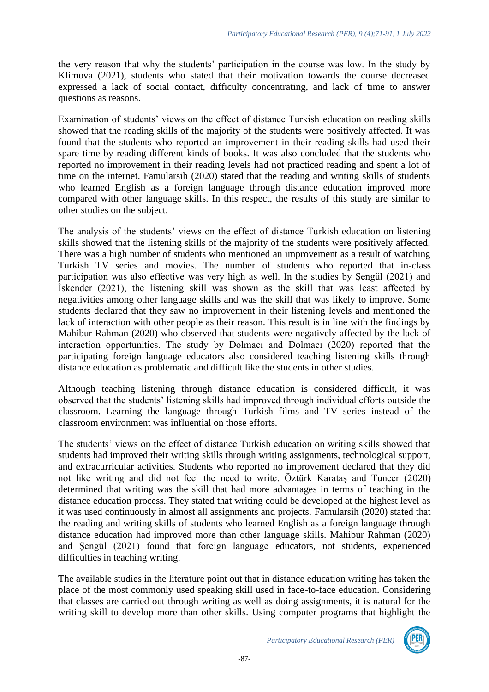the very reason that why the students' participation in the course was low. In the study by Klimova (2021), students who stated that their motivation towards the course decreased expressed a lack of social contact, difficulty concentrating, and lack of time to answer questions as reasons.

Examination of students' views on the effect of distance Turkish education on reading skills showed that the reading skills of the majority of the students were positively affected. It was found that the students who reported an improvement in their reading skills had used their spare time by reading different kinds of books. It was also concluded that the students who reported no improvement in their reading levels had not practiced reading and spent a lot of time on the internet. Famularsih (2020) stated that the reading and writing skills of students who learned English as a foreign language through distance education improved more compared with other language skills. In this respect, the results of this study are similar to other studies on the subject.

The analysis of the students' views on the effect of distance Turkish education on listening skills showed that the listening skills of the majority of the students were positively affected. There was a high number of students who mentioned an improvement as a result of watching Turkish TV series and movies. The number of students who reported that in-class participation was also effective was very high as well. In the studies by Şengül (2021) and İskender (2021), the listening skill was shown as the skill that was least affected by negativities among other language skills and was the skill that was likely to improve. Some students declared that they saw no improvement in their listening levels and mentioned the lack of interaction with other people as their reason. This result is in line with the findings by Mahibur Rahman (2020) who observed that students were negatively affected by the lack of interaction opportunities. The study by Dolmacı and Dolmacı (2020) reported that the participating foreign language educators also considered teaching listening skills through distance education as problematic and difficult like the students in other studies.

Although teaching listening through distance education is considered difficult, it was observed that the students' listening skills had improved through individual efforts outside the classroom. Learning the language through Turkish films and TV series instead of the classroom environment was influential on those efforts.

The students' views on the effect of distance Turkish education on writing skills showed that students had improved their writing skills through writing assignments, technological support, and extracurricular activities. Students who reported no improvement declared that they did not like writing and did not feel the need to write. Öztürk Karataş and Tuncer (2020) determined that writing was the skill that had more advantages in terms of teaching in the distance education process. They stated that writing could be developed at the highest level as it was used continuously in almost all assignments and projects. Famularsih (2020) stated that the reading and writing skills of students who learned English as a foreign language through distance education had improved more than other language skills. Mahibur Rahman (2020) and Şengül (2021) found that foreign language educators, not students, experienced difficulties in teaching writing.

The available studies in the literature point out that in distance education writing has taken the place of the most commonly used speaking skill used in face-to-face education. Considering that classes are carried out through writing as well as doing assignments, it is natural for the writing skill to develop more than other skills. Using computer programs that highlight the

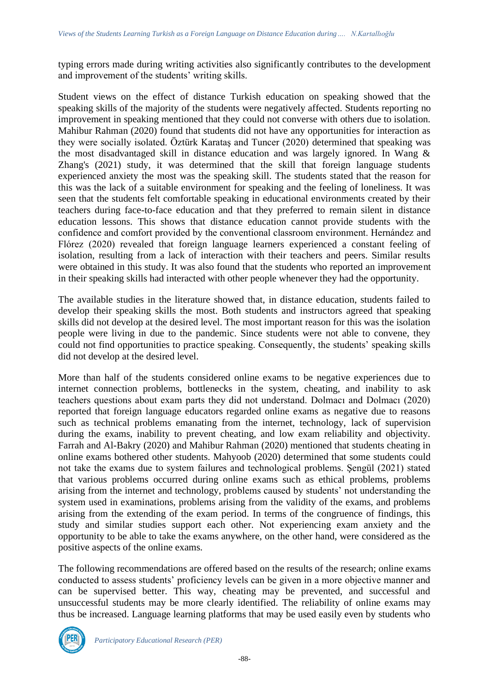typing errors made during writing activities also significantly contributes to the development and improvement of the students' writing skills.

Student views on the effect of distance Turkish education on speaking showed that the speaking skills of the majority of the students were negatively affected. Students reporting no improvement in speaking mentioned that they could not converse with others due to isolation. Mahibur Rahman (2020) found that students did not have any opportunities for interaction as they were socially isolated. Öztürk Karataş and Tuncer (2020) determined that speaking was the most disadvantaged skill in distance education and was largely ignored. In Wang & Zhang's (2021) study, it was determined that the skill that foreign language students experienced anxiety the most was the speaking skill. The students stated that the reason for this was the lack of a suitable environment for speaking and the feeling of loneliness. It was seen that the students felt comfortable speaking in educational environments created by their teachers during face-to-face education and that they preferred to remain silent in distance education lessons. This shows that distance education cannot provide students with the confidence and comfort provided by the conventional classroom environment. Hernández and Flórez (2020) revealed that foreign language learners experienced a constant feeling of isolation, resulting from a lack of interaction with their teachers and peers. Similar results were obtained in this study. It was also found that the students who reported an improvement in their speaking skills had interacted with other people whenever they had the opportunity.

The available studies in the literature showed that, in distance education, students failed to develop their speaking skills the most. Both students and instructors agreed that speaking skills did not develop at the desired level. The most important reason for this was the isolation people were living in due to the pandemic. Since students were not able to convene, they could not find opportunities to practice speaking. Consequently, the students' speaking skills did not develop at the desired level.

More than half of the students considered online exams to be negative experiences due to internet connection problems, bottlenecks in the system, cheating, and inability to ask teachers questions about exam parts they did not understand. Dolmacı and Dolmacı (2020) reported that foreign language educators regarded online exams as negative due to reasons such as technical problems emanating from the internet, technology, lack of supervision during the exams, inability to prevent cheating, and low exam reliability and objectivity. Farrah and Al-Bakry (2020) and Mahibur Rahman (2020) mentioned that students cheating in online exams bothered other students. Mahyoob (2020) determined that some students could not take the exams due to system failures and technological problems. Şengül (2021) stated that various problems occurred during online exams such as ethical problems, problems arising from the internet and technology, problems caused by students' not understanding the system used in examinations, problems arising from the validity of the exams, and problems arising from the extending of the exam period. In terms of the congruence of findings, this study and similar studies support each other. Not experiencing exam anxiety and the opportunity to be able to take the exams anywhere, on the other hand, were considered as the positive aspects of the online exams.

The following recommendations are offered based on the results of the research; online exams conducted to assess students' proficiency levels can be given in a more objective manner and can be supervised better. This way, cheating may be prevented, and successful and unsuccessful students may be more clearly identified. The reliability of online exams may thus be increased. Language learning platforms that may be used easily even by students who

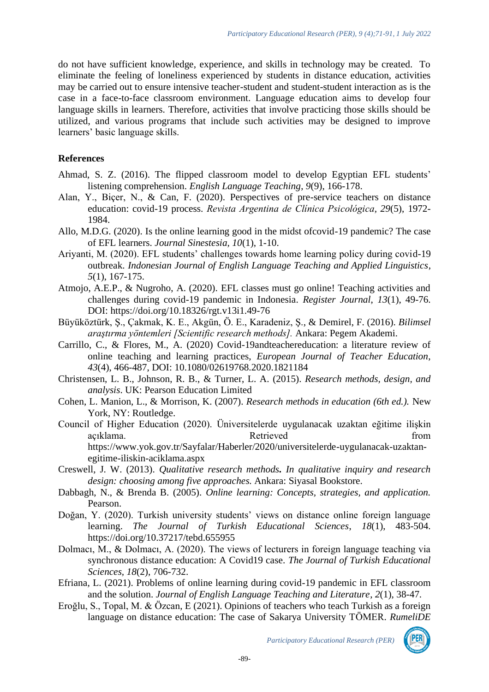do not have sufficient knowledge, experience, and skills in technology may be created. To eliminate the feeling of loneliness experienced by students in distance education, activities may be carried out to ensure intensive teacher-student and student-student interaction as is the case in a face-to-face classroom environment. Language education aims to develop four language skills in learners. Therefore, activities that involve practicing those skills should be utilized, and various programs that include such activities may be designed to improve learners' basic language skills.

### **References**

- Ahmad, S. Z. (2016). The flipped classroom model to develop Egyptian EFL students' listening comprehension. *English Language Teaching*, *9*(9), 166-178.
- Alan, Y., Biçer, N., & Can, F. (2020). Perspectives of pre-service teachers on distance education: covid-19 process. *Revista Argentina de Clínica Psicológica, 29*(5), 1972- 1984.
- Allo, M.D.G. (2020). Is the online learning good in the midst ofcovid-19 pandemic? The case of EFL learners. *Journal Sinestesia, 10*(1), 1-10.
- Ariyanti, M. (2020). EFL students' challenges towards home learning policy during covid-19 outbreak. *Indonesian Journal of English Language Teaching and Applied Linguistics*, *5*(1), 167-175.
- Atmojo, A.E.P., & Nugroho, A. (2020). EFL classes must go online! Teaching activities and challenges during covid-19 pandemic in Indonesia. *Register Journal*, *13*(1), 49-76. DOI: https://doi.org/10.18326/rgt.v13i1.49-76
- Büyüköztürk, Ş., Çakmak, K. E., Akgün, Ö. E., Karadeniz, Ş., & Demirel, F. (2016). *Bilimsel araştırma yöntemleri [Scientific research methods].* Ankara: Pegem Akademi.
- Carrillo, C., & Flores, M., A. (2020) Covid-19andteachereducation: a literature review of online teaching and learning practices, *European Journal of Teacher Education*, *43*(4), 466-487, DOI: 10.1080/02619768.2020.1821184
- Christensen, L. B., Johnson, R. B., & Turner, L. A. (2015). *Research methods, design, and analysis*. UK: Pearson Education Limited
- Cohen, L. Manion, L., & Morrison, K. (2007). *Research methods in education (6th ed.).* New York, NY: Routledge.
- Council of Higher Education (2020). Üniversitelerde uygulanacak uzaktan eğitime ilişkin açıklama. Retrieved from https://www.yok.gov.tr/Sayfalar/Haberler/2020/universitelerde-uygulanacak-uzaktanegitime-iliskin-aciklama.aspx
- Creswell, J. W. (2013). *Qualitative research methods. In qualitative inquiry and research design: choosing among five approaches.* Ankara: Siyasal Bookstore.
- Dabbagh, N., & Brenda B. (2005). *Online learning: Concepts, strategies, and application.* Pearson.
- Doğan, Y. (2020). Turkish university students' views on distance online foreign language learning. *The Journal of Turkish Educational Sciences*, *18*(1), 483-504. https://doi.org/10.37217/tebd.655955
- Dolmacı, M., & Dolmacı, A. (2020). The views of lecturers in foreign language teaching via synchronous distance education: A Covid19 case. *The Journal of Turkish Educational Sciences, 18*(2), 706-732.
- Efriana, L. (2021). Problems of online learning during covid-19 pandemic in EFL classroom and the solution. *Journal of English Language Teaching and Literature*, *2*(1), 38-47.
- Eroğlu, S., Topal, M. & Özcan, E (2021). Opinions of teachers who teach Turkish as a foreign language on distance education: The case of Sakarya University TÖMER. *RumeliDE*

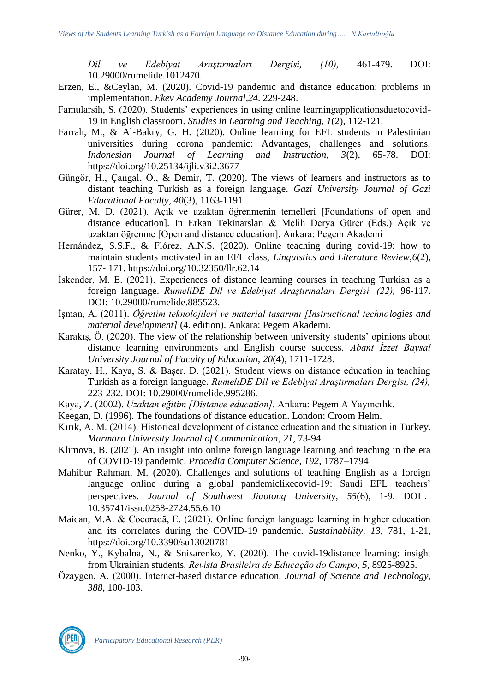*Dil ve Edebiyat Araştırmaları Dergisi, (10),* 461-479. DOI: 10.29000/rumelide.1012470.

- Erzen, E., &Ceylan, M. (2020). Covid-19 pandemic and distance education: problems in implementation. *Ekev Academy Journal*,*24*. 229-248.
- Famularsih, S. (2020). Students' experiences in using online learningapplicationsduetocovid-19 in English classroom. *Studies in Learning and Teaching*, *1*(2), 112-121.
- Farrah, M., & Al-Bakry, G. H. (2020). Online learning for EFL students in Palestinian universities during corona pandemic: Advantages, challenges and solutions. *Indonesian Journal of Learning and Instruction, 3*(2), 65-78. DOI: https://doi.org/10.25134/ijli.v3i2.3677
- Güngör, H., Çangal, Ö., & Demir, T. (2020). The views of learners and instructors as to distant teaching Turkish as a foreign language. *Gazi University Journal of Gazi Educational Faculty, 40*(3), 1163-1191
- Gürer, M. D. (2021). Açık ve uzaktan öğrenmenin temelleri [Foundations of open and distance education]. In Erkan Tekinarslan & Melih Derya Gürer (Eds.) Açık ve uzaktan öğrenme [Open and distance education]. Ankara: Pegem Akademi
- Hernández, S.S.F., & Flórez, A.N.S. (2020). Online teaching during covid-19: how to maintain students motivated in an EFL class, *Linguistics and Literature Review,6*(2), 157- 171.<https://doi.org/10.32350/llr.62.14>
- İskender, M. E. (2021). Experiences of distance learning courses in teaching Turkish as a foreign language. *RumeliDE Dil ve Edebiyat Araştırmaları Dergisi, (22),* 96-117. DOI: 10.29000/rumelide.885523.
- İşman, A. (2011). *Öğretim teknolojileri ve material tasarımı [Instructional technologies and material development]* (4. edition). Ankara: Pegem Akademi.
- Karakış, Ö. (2020). The view of the relationship between university students' opinions about distance learning environments and English course success. *Abant İzzet Baysal University Journal of Faculty of Education, 20*(4), 1711-1728.
- Karatay, H., Kaya, S. & Başer, D. (2021). Student views on distance education in teaching Turkish as a foreign language. *RumeliDE Dil ve Edebiyat Araştırmaları Dergisi, (24),* 223-232. DOI: 10.29000/rumelide.995286.
- Kaya, Z. (2002). *Uzaktan eğitim [Distance education].* Ankara: Pegem A Yayıncılık.
- Keegan, D. (1996). The foundations of distance education. London: Croom Helm.
- Kırık, A. M. (2014). Historical development of distance education and the situation in Turkey. *Marmara University Journal of Communication*, *21*, 73-94.
- Klimova, B. (2021). An insight into online foreign language learning and teaching in the era of COVID-19 pandemic. *Procedia Computer Science, 192,* 1787–1794
- Mahibur Rahman, M. (2020). Challenges and solutions of teaching English as a foreign language online during a global pandemiclikecovid-19: Saudi EFL teachers' perspectives. *Journal of Southwest Jiaotong University, 55*(6), 1-9. DOI: 10.35741/issn.0258-2724.55.6.10
- Maican, M.A. & Cocoradă, E. (2021). Online foreign language learning in higher education and its correlates during the COVID-19 pandemic. *Sustainability, 13,* 781, 1-21, https://doi.org/10.3390/su13020781
- Nenko, Y., Kybalna, N., & Snisarenko, Y. (2020). The covid-19distance learning: insight from Ukrainian students. *Revista Brasileira de Educação do Campo*, *5*, 8925-8925.
- Özaygen, A. (2000). Internet-based distance education. *Journal of Science and Technology, 388*, 100-103.